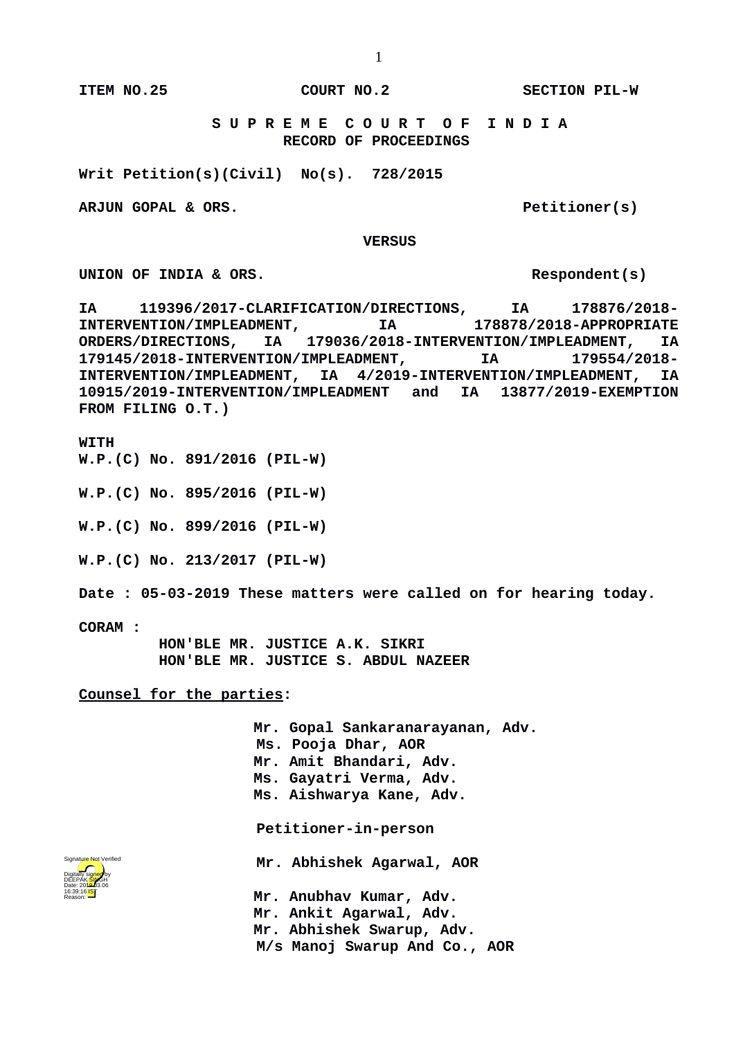**ITEM NO.25 COURT NO.2 SECTION PIL-W**

 **S U P R E M E C O U R T O F I N D I A RECORD OF PROCEEDINGS**

**Writ Petition(s)(Civil) No(s). 728/2015**

ARJUN GOPAL & ORS. Petitioner(s)

 **VERSUS**

UNION OF INDIA & ORS.

**IA 119396/2017-CLARIFICATION/DIRECTIONS, IA 178876/2018- INTERVENTION/IMPLEADMENT, IA 178878/2018-APPROPRIATE ORDERS/DIRECTIONS, IA 179036/2018-INTERVENTION/IMPLEADMENT, IA 179145/2018-INTERVENTION/IMPLEADMENT, IA 179554/2018- INTERVENTION/IMPLEADMENT, IA 4/2019-INTERVENTION/IMPLEADMENT, IA 10915/2019-INTERVENTION/IMPLEADMENT and IA 13877/2019-EXEMPTION FROM FILING O.T.)** 

**WITH**

**W.P.(C) No. 891/2016 (PIL-W)**

**W.P.(C) No. 895/2016 (PIL-W)**

**W.P.(C) No. 899/2016 (PIL-W)**

**W.P.(C) No. 213/2017 (PIL-W)**

**Date : 05-03-2019 These matters were called on for hearing today.**

**CORAM :** 

 **HON'BLE MR. JUSTICE A.K. SIKRI HON'BLE MR. JUSTICE S. ABDUL NAZEER**

**Counsel for the parties:**

**Mr. Gopal Sankaranarayanan, Adv. Ms. Pooja Dhar, AOR Mr. Amit Bhandari, Adv. Ms. Gayatri Verma, Adv. Ms. Aishwarya Kane, Adv. Petitioner-in-person Mr. Abhishek Agarwal, AOR**

Digitally signed by DEEPAK<mark>/SIN</mark>GH Date: 2010.03.06 16:39:16<sup>1ST</sup> Reason: Signature Not Verified

**Mr. Anubhav Kumar, Adv. Mr. Ankit Agarwal, Adv. Mr. Abhishek Swarup, Adv.** 

 **M/s Manoj Swarup And Co., AOR**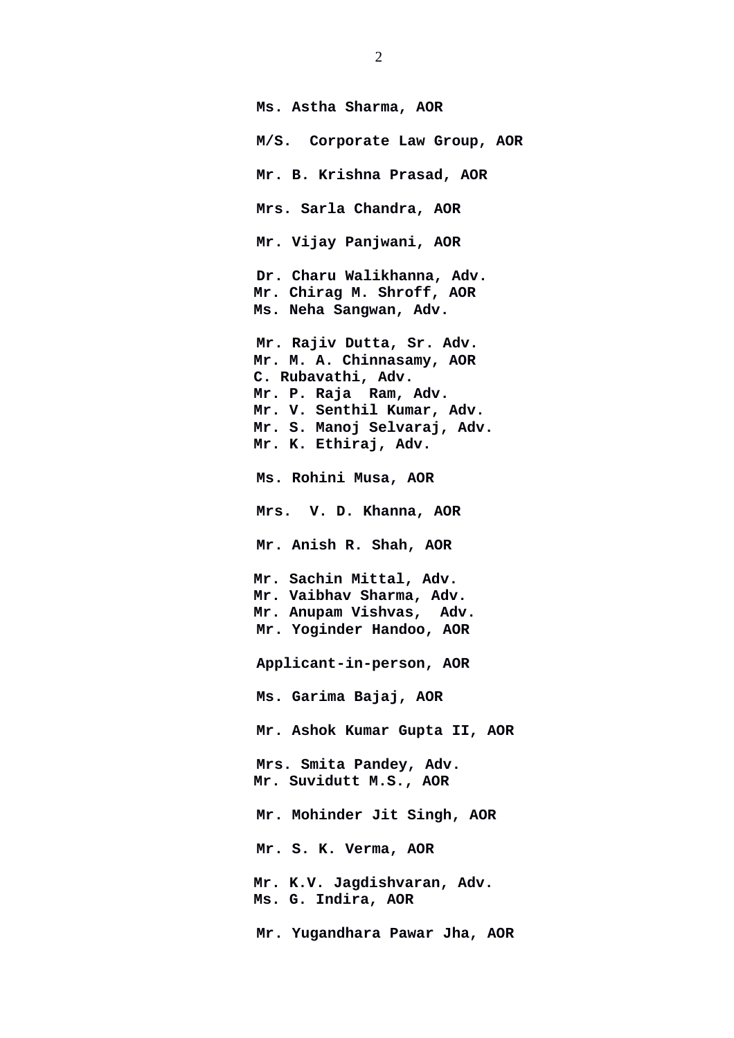**Ms. Astha Sharma, AOR M/S. Corporate Law Group, AOR Mr. B. Krishna Prasad, AOR Mrs. Sarla Chandra, AOR Mr. Vijay Panjwani, AOR Dr. Charu Walikhanna, Adv. Mr. Chirag M. Shroff, AOR Ms. Neha Sangwan, Adv. Mr. Rajiv Dutta, Sr. Adv. Mr. M. A. Chinnasamy, AOR C. Rubavathi, Adv. Mr. P. Raja Ram, Adv. Mr. V. Senthil Kumar, Adv. Mr. S. Manoj Selvaraj, Adv. Mr. K. Ethiraj, Adv. Ms. Rohini Musa, AOR Mrs. V. D. Khanna, AOR Mr. Anish R. Shah, AOR Mr. Sachin Mittal, Adv. Mr. Vaibhav Sharma, Adv. Mr. Anupam Vishvas, Adv. Mr. Yoginder Handoo, AOR Applicant-in-person, AOR Ms. Garima Bajaj, AOR Mr. Ashok Kumar Gupta II, AOR Mrs. Smita Pandey, Adv. Mr. Suvidutt M.S., AOR Mr. Mohinder Jit Singh, AOR Mr. S. K. Verma, AOR Mr. K.V. Jagdishvaran, Adv. Ms. G. Indira, AOR**

 **Mr. Yugandhara Pawar Jha, AOR**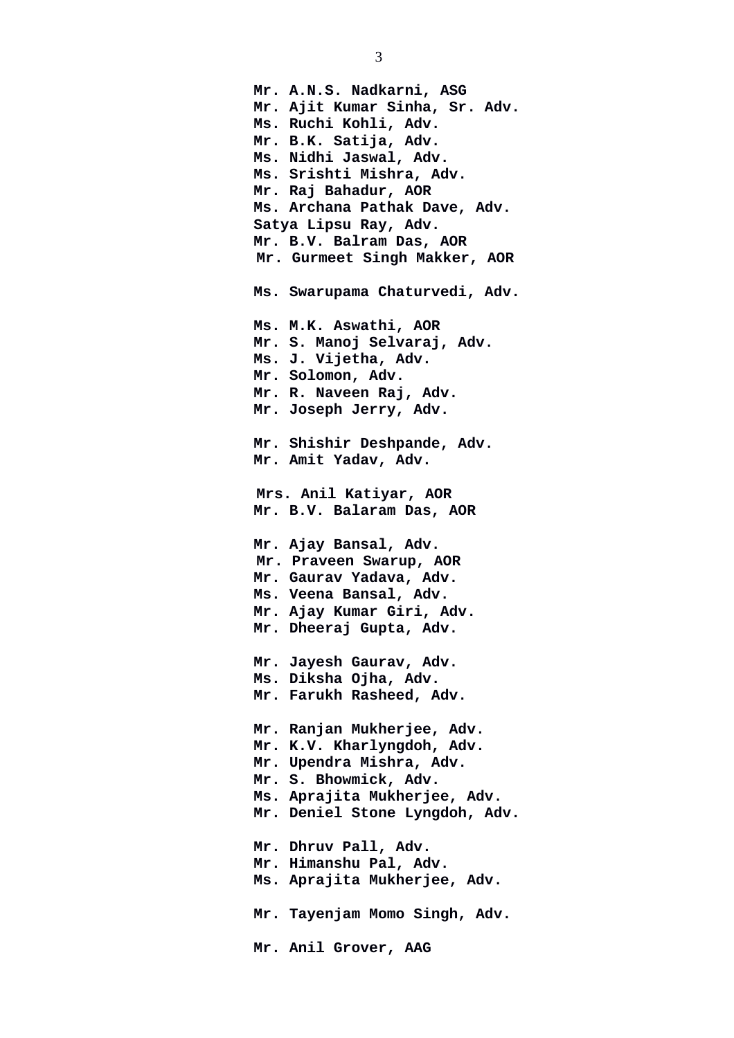**Mr. A.N.S. Nadkarni, ASG Mr. Ajit Kumar Sinha, Sr. Adv. Ms. Ruchi Kohli, Adv. Mr. B.K. Satija, Adv. Ms. Nidhi Jaswal, Adv. Ms. Srishti Mishra, Adv. Mr. Raj Bahadur, AOR Ms. Archana Pathak Dave, Adv. Satya Lipsu Ray, Adv. Mr. B.V. Balram Das, AOR Mr. Gurmeet Singh Makker, AOR Ms. Swarupama Chaturvedi, Adv. Ms. M.K. Aswathi, AOR Mr. S. Manoj Selvaraj, Adv. Ms. J. Vijetha, Adv. Mr. Solomon, Adv. Mr. R. Naveen Raj, Adv. Mr. Joseph Jerry, Adv. Mr. Shishir Deshpande, Adv. Mr. Amit Yadav, Adv. Mrs. Anil Katiyar, AOR Mr. B.V. Balaram Das, AOR Mr. Ajay Bansal, Adv. Mr. Praveen Swarup, AOR Mr. Gaurav Yadava, Adv. Ms. Veena Bansal, Adv. Mr. Ajay Kumar Giri, Adv. Mr. Dheeraj Gupta, Adv. Mr. Jayesh Gaurav, Adv. Ms. Diksha Ojha, Adv. Mr. Farukh Rasheed, Adv. Mr. Ranjan Mukherjee, Adv. Mr. K.V. Kharlyngdoh, Adv. Mr. Upendra Mishra, Adv. Mr. S. Bhowmick, Adv. Ms. Aprajita Mukherjee, Adv. Mr. Deniel Stone Lyngdoh, Adv. Mr. Dhruv Pall, Adv. Mr. Himanshu Pal, Adv. Ms. Aprajita Mukherjee, Adv. Mr. Tayenjam Momo Singh, Adv. Mr. Anil Grover, AAG**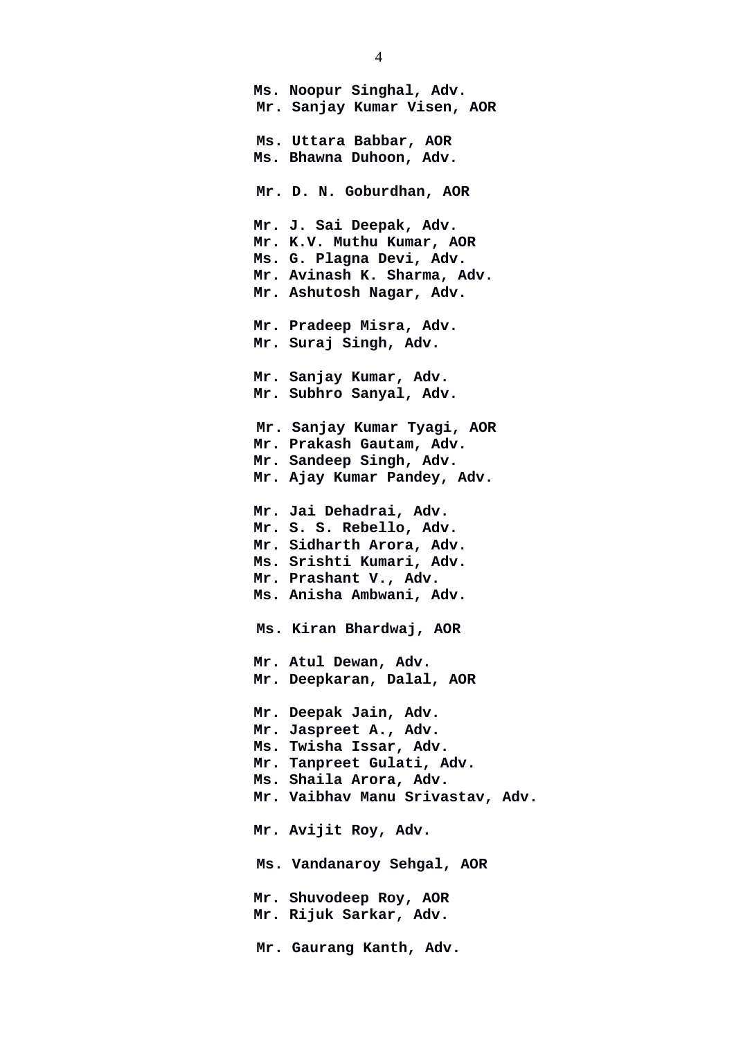**Ms. Noopur Singhal, Adv. Mr. Sanjay Kumar Visen, AOR Ms. Uttara Babbar, AOR Ms. Bhawna Duhoon, Adv. Mr. D. N. Goburdhan, AOR Mr. J. Sai Deepak, Adv. Mr. K.V. Muthu Kumar, AOR Ms. G. Plagna Devi, Adv. Mr. Avinash K. Sharma, Adv. Mr. Ashutosh Nagar, Adv. Mr. Pradeep Misra, Adv. Mr. Suraj Singh, Adv. Mr. Sanjay Kumar, Adv. Mr. Subhro Sanyal, Adv. Mr. Sanjay Kumar Tyagi, AOR Mr. Prakash Gautam, Adv. Mr. Sandeep Singh, Adv. Mr. Ajay Kumar Pandey, Adv. Mr. Jai Dehadrai, Adv. Mr. S. S. Rebello, Adv. Mr. Sidharth Arora, Adv. Ms. Srishti Kumari, Adv. Mr. Prashant V., Adv. Ms. Anisha Ambwani, Adv. Ms. Kiran Bhardwaj, AOR Mr. Atul Dewan, Adv. Mr. Deepkaran, Dalal, AOR Mr. Deepak Jain, Adv. Mr. Jaspreet A., Adv. Ms. Twisha Issar, Adv. Mr. Tanpreet Gulati, Adv. Ms. Shaila Arora, Adv. Mr. Vaibhav Manu Srivastav, Adv. Mr. Avijit Roy, Adv. Ms. Vandanaroy Sehgal, AOR Mr. Shuvodeep Roy, AOR Mr. Rijuk Sarkar, Adv. Mr. Gaurang Kanth, Adv.**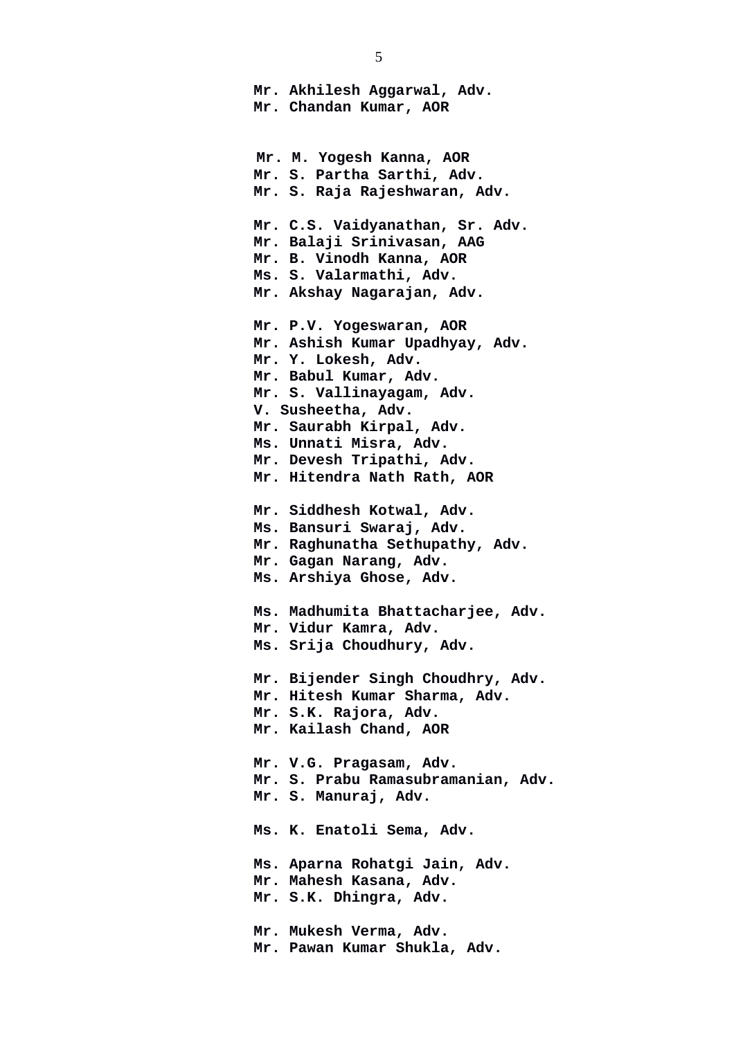**Mr. Akhilesh Aggarwal, Adv. Mr. Chandan Kumar, AOR Mr. M. Yogesh Kanna, AOR Mr. S. Partha Sarthi, Adv. Mr. S. Raja Rajeshwaran, Adv. Mr. C.S. Vaidyanathan, Sr. Adv. Mr. Balaji Srinivasan, AAG Mr. B. Vinodh Kanna, AOR Ms. S. Valarmathi, Adv. Mr. Akshay Nagarajan, Adv. Mr. P.V. Yogeswaran, AOR Mr. Ashish Kumar Upadhyay, Adv. Mr. Y. Lokesh, Adv. Mr. Babul Kumar, Adv. Mr. S. Vallinayagam, Adv. V. Susheetha, Adv. Mr. Saurabh Kirpal, Adv. Ms. Unnati Misra, Adv. Mr. Devesh Tripathi, Adv. Mr. Hitendra Nath Rath, AOR Mr. Siddhesh Kotwal, Adv. Ms. Bansuri Swaraj, Adv. Mr. Raghunatha Sethupathy, Adv. Mr. Gagan Narang, Adv. Ms. Arshiya Ghose, Adv. Ms. Madhumita Bhattacharjee, Adv. Mr. Vidur Kamra, Adv. Ms. Srija Choudhury, Adv. Mr. Bijender Singh Choudhry, Adv. Mr. Hitesh Kumar Sharma, Adv. Mr. S.K. Rajora, Adv. Mr. Kailash Chand, AOR Mr. V.G. Pragasam, Adv. Mr. S. Prabu Ramasubramanian, Adv. Mr. S. Manuraj, Adv. Ms. K. Enatoli Sema, Adv. Ms. Aparna Rohatgi Jain, Adv. Mr. Mahesh Kasana, Adv. Mr. S.K. Dhingra, Adv. Mr. Mukesh Verma, Adv. Mr. Pawan Kumar Shukla, Adv.**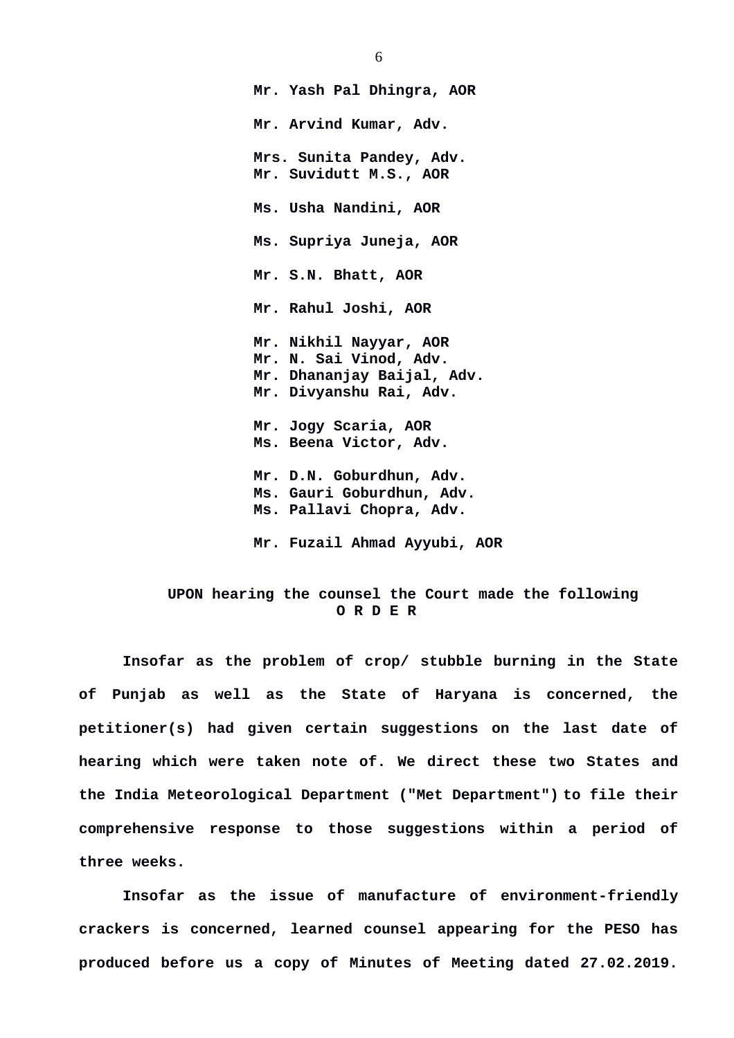**Mr. Yash Pal Dhingra, AOR Mr. Arvind Kumar, Adv. Mrs. Sunita Pandey, Adv. Mr. Suvidutt M.S., AOR Ms. Usha Nandini, AOR Ms. Supriya Juneja, AOR Mr. S.N. Bhatt, AOR Mr. Rahul Joshi, AOR Mr. Nikhil Nayyar, AOR Mr. N. Sai Vinod, Adv. Mr. Dhananjay Baijal, Adv. Mr. Divyanshu Rai, Adv. Mr. Jogy Scaria, AOR Ms. Beena Victor, Adv. Mr. D.N. Goburdhun, Adv. Ms. Gauri Goburdhun, Adv. Ms. Pallavi Chopra, Adv. Mr. Fuzail Ahmad Ayyubi, AOR** 

## **UPON hearing the counsel the Court made the following O R D E R**

**Insofar as the problem of crop/ stubble burning in the State of Punjab as well as the State of Haryana is concerned, the petitioner(s) had given certain suggestions on the last date of hearing which were taken note of. We direct these two States and the India Meteorological Department ("Met Department") to file their comprehensive response to those suggestions within a period of three weeks.**

**Insofar as the issue of manufacture of environment-friendly crackers is concerned, learned counsel appearing for the PESO has produced before us a copy of Minutes of Meeting dated 27.02.2019.**

6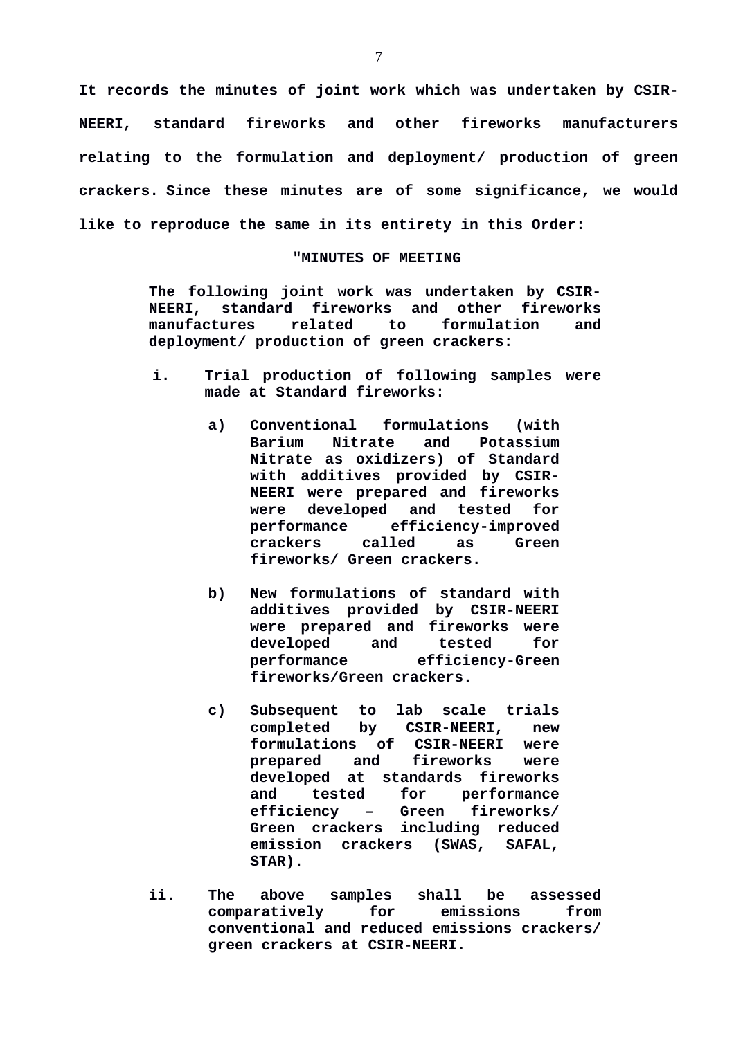**It records the minutes of joint work which was undertaken by CSIR-NEERI, standard fireworks and other fireworks manufacturers relating to the formulation and deployment/ production of green crackers. Since these minutes are of some significance, we would like to reproduce the same in its entirety in this Order:**

## **"MINUTES OF MEETING**

**The following joint work was undertaken by CSIR-NEERI, standard fireworks and other fireworks manufactures related to formulation and deployment/ production of green crackers:**

- **i. Trial production of following samples were made at Standard fireworks:**
	- **a) Conventional formulations (with Barium Nitrate and Potassium Nitrate as oxidizers) of Standard with additives provided by CSIR-NEERI were prepared and fireworks were developed and tested for performance efficiency-improved crackers called as Green fireworks/ Green crackers.**
	- **b) New formulations of standard with additives provided by CSIR-NEERI were prepared and fireworks were developed and tested for performance efficiency-Green fireworks/Green crackers.**
	- **c) Subsequent to lab scale trials completed by CSIR-NEERI, new formulations of CSIR-NEERI were prepared and fireworks were developed at standards fireworks and tested for performance efficiency – Green fireworks/ Green crackers including reduced emission crackers (SWAS, SAFAL, STAR).**
- **ii. The above samples shall be assessed comparatively for emissions from conventional and reduced emissions crackers/ green crackers at CSIR-NEERI.**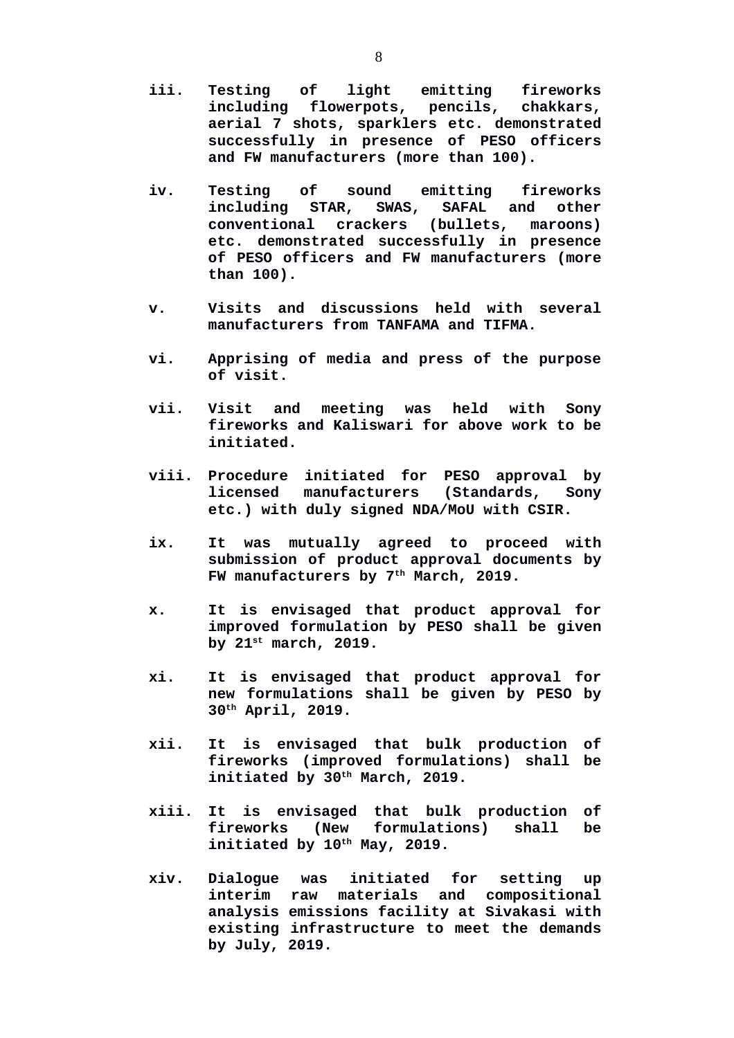- **iii. Testing of light emitting fireworks including flowerpots, pencils, chakkars, aerial 7 shots, sparklers etc. demonstrated successfully in presence of PESO officers and FW manufacturers (more than 100).**
- **iv. Testing of sound emitting fireworks including STAR, SWAS, SAFAL and other conventional crackers (bullets, maroons) etc. demonstrated successfully in presence of PESO officers and FW manufacturers (more than 100).**
- **v. Visits and discussions held with several manufacturers from TANFAMA and TIFMA.**
- **vi. Apprising of media and press of the purpose of visit.**
- **vii. Visit and meeting was held with Sony fireworks and Kaliswari for above work to be initiated.**
- **viii. Procedure initiated for PESO approval by licensed manufacturers (Standards, Sony etc.) with duly signed NDA/MoU with CSIR.**
- **ix. It was mutually agreed to proceed with submission of product approval documents by FW manufacturers by 7th March, 2019.**
- **x. It is envisaged that product approval for improved formulation by PESO shall be given by 21st march, 2019.**
- **xi. It is envisaged that product approval for new formulations shall be given by PESO by 30th April, 2019.**
- **xii. It is envisaged that bulk production of fireworks (improved formulations) shall be initiated by 30th March, 2019.**
- **xiii. It is envisaged that bulk production of fireworks (New formulations) shall be initiated by 10th May, 2019.**
- **xiv. Dialogue was initiated for setting up interim raw materials and compositional analysis emissions facility at Sivakasi with existing infrastructure to meet the demands by July, 2019.**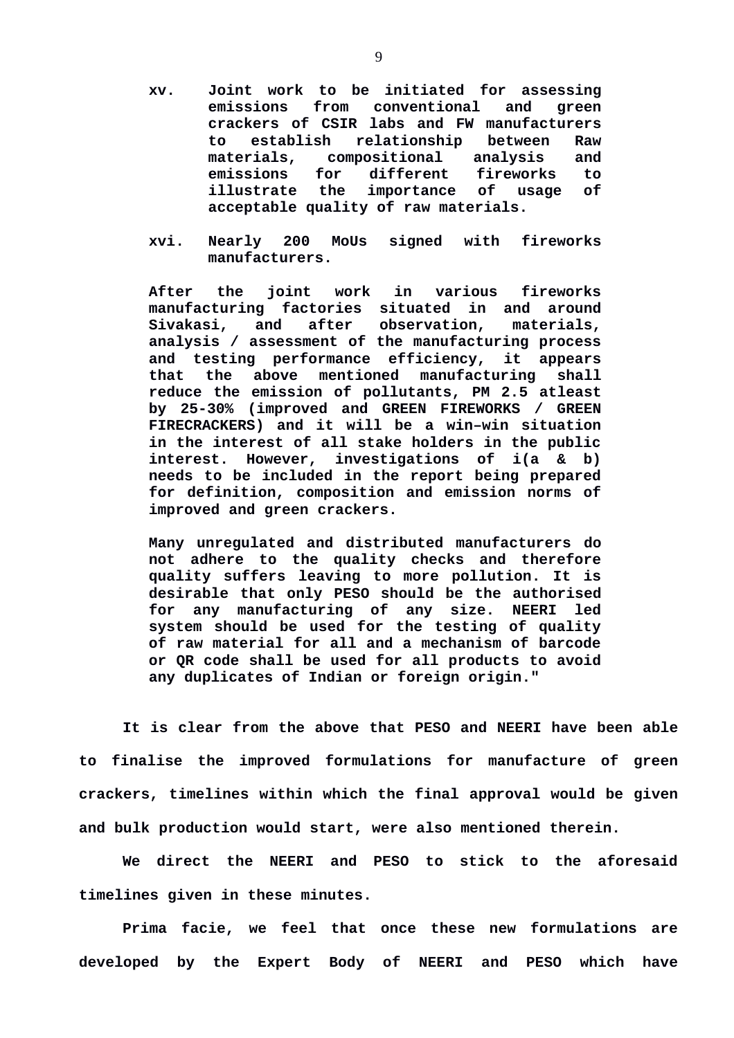- **xv. Joint work to be initiated for assessing emissions from conventional and green crackers of CSIR labs and FW manufacturers to establish relationship between Raw materials, compositional analysis and emissions for different fireworks to illustrate the importance of usage of acceptable quality of raw materials.**
- **xvi. Nearly 200 MoUs signed with fireworks manufacturers.**

**After the joint work in various fireworks manufacturing factories situated in and around Sivakasi, and after observation, materials, analysis / assessment of the manufacturing process and testing performance efficiency, it appears that the above mentioned manufacturing shall reduce the emission of pollutants, PM 2.5 atleast by 25-30% (improved and GREEN FIREWORKS / GREEN FIRECRACKERS) and it will be a win–win situation in the interest of all stake holders in the public interest. However, investigations of i(a & b) needs to be included in the report being prepared for definition, composition and emission norms of improved and green crackers.**

**Many unregulated and distributed manufacturers do not adhere to the quality checks and therefore quality suffers leaving to more pollution. It is desirable that only PESO should be the authorised for any manufacturing of any size. NEERI led system should be used for the testing of quality of raw material for all and a mechanism of barcode or QR code shall be used for all products to avoid any duplicates of Indian or foreign origin."**

**It is clear from the above that PESO and NEERI have been able to finalise the improved formulations for manufacture of green crackers, timelines within which the final approval would be given and bulk production would start, were also mentioned therein.**

**We direct the NEERI and PESO to stick to the aforesaid timelines given in these minutes.**

**Prima facie, we feel that once these new formulations are developed by the Expert Body of NEERI and PESO which have**